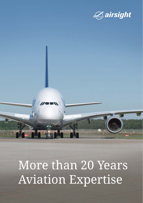

# More than 20 Years Aviation Expertise

**MORY**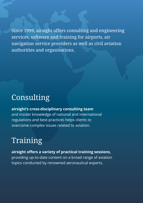Since 1999, airsight offers consulting and engineering services, software and training for airports, air navigation service providers as well as civil aviation authorities and organisations.

### Consulting

### **airsight's cross-disciplinary consulting team**

and insider knowledge of national and international regulations and best-practices helps clients to overcome complex issues related to aviation.

### Training

**airsight offers a variety of practical training sessions,**  providing up-to-date content on a broad range of aviation topics conducted by renowned aeronautical experts.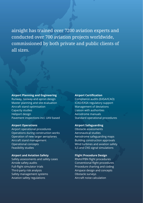airsight has trained over 7200 aviation experts and conducted over 700 aviation projects worldwide, commissioned by both private and public clients of all sizes.

### **Airport Planning and Engineering**

Runway, taxiway and apron design Master planning and site evaluation Aircraft stand optimisation Capacity studies Heliport design Pavement inspections incl. UAV-based

#### **Airport Operations**

Airport operational procedures Operations during construction works Operation of new larger aeroplanes Aircraft stand management Operational concepts Feasibility studies

### **Airport and Aviation Safety**

Safety assessments and safety cases Airside safety audits Full-flight simulator trials Third-party risk analysis Safety management systems Aviation safety regulations

#### **Airport Certification**

Compliance audits (EASA/ICAO) ICAO/EASA regulatory support Management of deviations Liaison with authorities Aerodrome manuals Standard operational procedures

### **Airport Safeguarding**

Obstacle assessments Aeronautical studies Aerodrome safeguarding maps Building construction approvals Wind turbines and aviation safety ILS and CNS signal simulations

### **Flight Procedure Design**

RNAV/PBN flight procedures Conventional flight procedures Procedure charting and coding Airspace design and concepts Obstacle surveys Aircraft noise calculation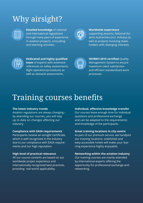## Why airsight?



**Detailed knowledge** of national and international regulations through many years of experience in aviation projects, consulting and teaching activities.



#### **Worldwide experience**

supporting airports, National Aviation Authorities (incl. military) as well as projects involving stakeholders with diverging interests.



**Dedicated and highly qualified team** of experts with extensive references on safety assessments, flight operation/procedures as well as obstacle assessments.



**ISO9001:2015 certified** Quality Management System to ensure maximum client satisfaction and efficient standardised work processes.

### Training courses benefits

### **The latest industry trends**

Aviation regulations are always changing – by attending our courses, you will stay up to date on changes affecting our industry.

### **Compliance with EASA requirements**

Participants receive an airsight Certificate, which is well recognised in the industry due to our compliance with EASA requirements and our high reputation.

### **High level of practical relevance**

All our course contents are based on our worldwide project experience and internationally recognised best-practices, providing real-world applicability.

### **Individual, effective knowledge transfer**

Our courses leave enough time for individual questions and professional exchange and can be adapted to the requirements and knowledge of the participants.

### **Great training locations in city centre**

As part of our premium service, we handpick our training locations: stablished and easy accessible hotels will make your learning experience highly enjoyable.

### **Networking within the aviation industry**

Our training courses are mainly attended by international experts offering the opportunity for professional exchange and networking.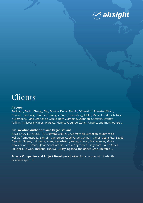

### Clients

#### **Airports**

Auckland, Berlin, Changi, Cluj, Douala, Dubai, Dublin, Düsseldorf, Frankfurt/Main, Geneva, Hamburg, Hannover, Cologne Bonn, Luxemburg, Malta, Marseille, Munich, Nice, Nuremberg, Paris Charles de Gaulle, Rom-Ciampino, Shannon, Stuttgart, Sydney, Tallinn, Timisoara, Vilnius, Warsaw, Vienna, Yaoundé, Zurich Airports and many others ...

### **Civil Aviation Authorities and Organisations**

ICAO, EASA, EUROCONTROL, several ANSPs, CAAs from all European countries as well as from Australia, Bahrain, Cameroon, Cape Verde, Cayman Islands, Costa Rica, Egypt, Georgia, Ghana, Indonesia, Israel, Kazakhstan, Kenya, Kuwait, Madagascar, Malta, New Zealand, Oman, Qatar, Saudi Arabia, Serbia, Seychelles, Singapore, South Africa, Sri Lanka, Taiwan, Thailand, Tunisia, Turkey, Uganda, the United Arab Emirates ...

**Private Companies and Project Developers** looking for a partner with in-depth aviation expertise.